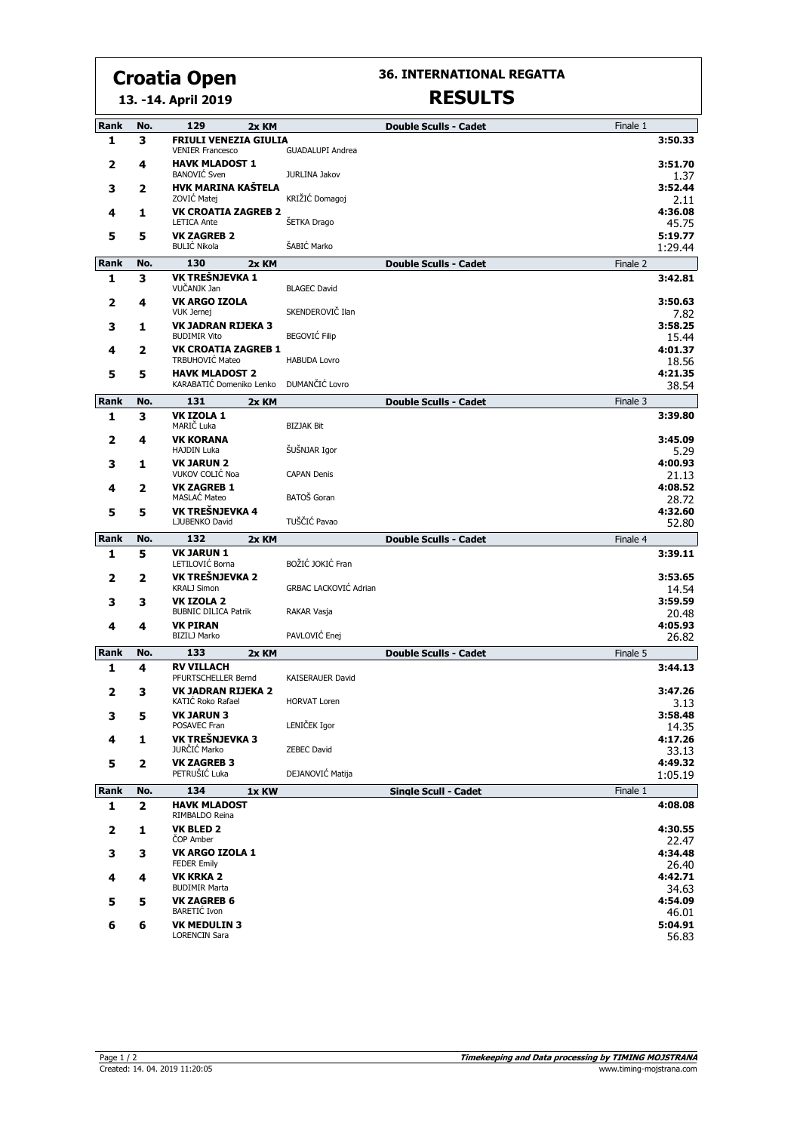# **Croatia Open**

**13. -14. April 2019**

## **36. INTERNATIONAL REGATTA**

## **RESULTS**

| <b>FRIULI VENEZIA GIULIA</b><br>1<br>з<br><b>VENIER Francesco</b><br><b>GUADALUPI Andrea</b><br><b>HAVK MLADOST 1</b><br>2<br>4<br><b>BANOVIĆ</b> Sven<br>JURLINA Jakov<br>HVK MARINA KAŠTELA<br>3<br>2<br>KRIŽIĆ Domagoj<br>ZOVIĆ Matej<br><b>VK CROATIA ZAGREB 2</b><br>4<br>1<br>ŠETKA Drago<br><b>LETICA Ante</b><br><b>VK ZAGREB 2</b><br>5<br>5<br><b>BULIĆ Nikola</b><br>ŠABIĆ Marko<br>Rank<br>130<br>Finale 2<br>No.<br>2x KM<br><b>Double Sculls - Cadet</b><br>VK TREŠNJEVKA 1<br>3<br>1<br>VUČANJK Jan<br><b>BLAGEC David</b><br><b>VK ARGO IZOLA</b><br>2<br>4<br>SKENDEROVIČ Ilan<br><b>VUK Jernej</b><br><b>VK JADRAN RIJEKA 3</b><br>з<br>1<br><b>BEGOVIĆ Filip</b><br><b>BUDIMIR Vito</b> | 3:50.33<br>3:51.70<br>1.37<br>3:52.44<br>2.11<br>4:36.08<br>45.75<br>5:19.77<br>1:29.44<br>3:42.81<br>3:50.63<br>7.82<br>3:58.25<br>15.44<br>4:01.37<br>18.56 |
|------------------------------------------------------------------------------------------------------------------------------------------------------------------------------------------------------------------------------------------------------------------------------------------------------------------------------------------------------------------------------------------------------------------------------------------------------------------------------------------------------------------------------------------------------------------------------------------------------------------------------------------------------------------------------------------------------------|---------------------------------------------------------------------------------------------------------------------------------------------------------------|
|                                                                                                                                                                                                                                                                                                                                                                                                                                                                                                                                                                                                                                                                                                            |                                                                                                                                                               |
|                                                                                                                                                                                                                                                                                                                                                                                                                                                                                                                                                                                                                                                                                                            |                                                                                                                                                               |
|                                                                                                                                                                                                                                                                                                                                                                                                                                                                                                                                                                                                                                                                                                            |                                                                                                                                                               |
|                                                                                                                                                                                                                                                                                                                                                                                                                                                                                                                                                                                                                                                                                                            |                                                                                                                                                               |
|                                                                                                                                                                                                                                                                                                                                                                                                                                                                                                                                                                                                                                                                                                            |                                                                                                                                                               |
|                                                                                                                                                                                                                                                                                                                                                                                                                                                                                                                                                                                                                                                                                                            |                                                                                                                                                               |
|                                                                                                                                                                                                                                                                                                                                                                                                                                                                                                                                                                                                                                                                                                            |                                                                                                                                                               |
|                                                                                                                                                                                                                                                                                                                                                                                                                                                                                                                                                                                                                                                                                                            |                                                                                                                                                               |
|                                                                                                                                                                                                                                                                                                                                                                                                                                                                                                                                                                                                                                                                                                            |                                                                                                                                                               |
| <b>VK CROATIA ZAGREB 1</b><br>4<br>2<br>TRBUHOVIĆ Mateo<br><b>HABUDA Lovro</b>                                                                                                                                                                                                                                                                                                                                                                                                                                                                                                                                                                                                                             |                                                                                                                                                               |
| <b>HAVK MLADOST 2</b><br>5<br>5<br>DUMANČIĆ Lovro<br>KARABATIĆ Domeniko Lenko                                                                                                                                                                                                                                                                                                                                                                                                                                                                                                                                                                                                                              | 4:21.35<br>38.54                                                                                                                                              |
| 131<br>Rank<br>Finale 3<br>No.<br>2x KM<br><b>Double Sculls - Cadet</b>                                                                                                                                                                                                                                                                                                                                                                                                                                                                                                                                                                                                                                    |                                                                                                                                                               |
| 1<br><b>VK IZOLA 1</b><br>3<br>MARIČ Luka<br><b>BIZJAK Bit</b>                                                                                                                                                                                                                                                                                                                                                                                                                                                                                                                                                                                                                                             | 3:39.80                                                                                                                                                       |
| <b>VK KORANA</b><br>2<br>4<br>ŠUŠNJAR Igor<br><b>HAJDIN Luka</b>                                                                                                                                                                                                                                                                                                                                                                                                                                                                                                                                                                                                                                           | 3:45.09<br>5.29                                                                                                                                               |
| <b>VK JARUN 2</b><br>3<br>1<br>VUKOV COLIĆ Noa<br><b>CAPAN Denis</b>                                                                                                                                                                                                                                                                                                                                                                                                                                                                                                                                                                                                                                       | 4:00.93<br>21.13                                                                                                                                              |
| <b>VK ZAGREB 1</b><br>4<br>2<br>BATOŠ Goran<br><b>MASLAC Mateo</b>                                                                                                                                                                                                                                                                                                                                                                                                                                                                                                                                                                                                                                         | 4:08.52<br>28.72                                                                                                                                              |
| VK TREŠNJEVKA 4<br>5<br>5<br>TUŠČIĆ Pavao<br>LJUBENKO David                                                                                                                                                                                                                                                                                                                                                                                                                                                                                                                                                                                                                                                | 4:32.60<br>52.80                                                                                                                                              |
| 132<br>Rank<br>No.<br>2x KM<br><b>Double Sculls - Cadet</b><br>Finale 4                                                                                                                                                                                                                                                                                                                                                                                                                                                                                                                                                                                                                                    |                                                                                                                                                               |
| <b>VK JARUN 1</b><br>1<br>5<br>BOŽIĆ JOKIĆ Fran<br>LETILOVIĆ Borna                                                                                                                                                                                                                                                                                                                                                                                                                                                                                                                                                                                                                                         | 3:39.11                                                                                                                                                       |
| VK TREŠNJEVKA 2<br>2<br>2<br>GRBAC LACKOVIĆ Adrian<br><b>KRALJ Simon</b>                                                                                                                                                                                                                                                                                                                                                                                                                                                                                                                                                                                                                                   | 3:53.65<br>14.54                                                                                                                                              |
| <b>VK IZOLA 2</b><br>3<br>3<br><b>BUBNIC DILICA Patrik</b><br>RAKAR Vasja                                                                                                                                                                                                                                                                                                                                                                                                                                                                                                                                                                                                                                  | 3:59.59<br>20.48                                                                                                                                              |
| <b>VK PIRAN</b><br>4<br>4<br>PAVLOVIĆ Enej<br><b>BIZILJ Marko</b>                                                                                                                                                                                                                                                                                                                                                                                                                                                                                                                                                                                                                                          | 4:05.93<br>26.82                                                                                                                                              |
| 133<br>Rank<br>No.<br>Finale 5<br>2x KM<br><b>Double Sculls - Cadet</b>                                                                                                                                                                                                                                                                                                                                                                                                                                                                                                                                                                                                                                    |                                                                                                                                                               |
| <b>RV VILLACH</b><br>1<br>4<br>PFURTSCHELLER Bernd<br>KAISERAUER David                                                                                                                                                                                                                                                                                                                                                                                                                                                                                                                                                                                                                                     | 3:44.13                                                                                                                                                       |
| <b>VK JADRAN RIJEKA 2</b><br>2<br>з<br>KATIC Roko Rafael<br><b>HORVAT Loren</b>                                                                                                                                                                                                                                                                                                                                                                                                                                                                                                                                                                                                                            | 3:47.26<br>3.13                                                                                                                                               |
| <b>VK JARUN 3</b><br>3<br>5<br>LENIČEK Igor<br>POSAVEC Fran                                                                                                                                                                                                                                                                                                                                                                                                                                                                                                                                                                                                                                                | 3:58.48<br>14.35                                                                                                                                              |
| VK TREŠNJEVKA 3<br>4<br>1<br>JURČIĆ Marko<br><b>ZEBEC David</b>                                                                                                                                                                                                                                                                                                                                                                                                                                                                                                                                                                                                                                            | 4:17.26<br>33.13                                                                                                                                              |
| <b>VK ZAGREB 3</b><br>5<br>2<br>DEJANOVIĆ Matija<br>PETRUŠIĆ Luka                                                                                                                                                                                                                                                                                                                                                                                                                                                                                                                                                                                                                                          | 4:49.32<br>1:05.19                                                                                                                                            |
| Rank<br>134<br><b>Single Scull - Cadet</b><br>Finale 1<br>No.<br>1x KW                                                                                                                                                                                                                                                                                                                                                                                                                                                                                                                                                                                                                                     |                                                                                                                                                               |
| <b>HAVK MLADOST</b><br>1<br>$\mathbf{2}$<br>RIMBALDO Reina                                                                                                                                                                                                                                                                                                                                                                                                                                                                                                                                                                                                                                                 | 4:08.08                                                                                                                                                       |
| <b>VK BLED 2</b><br>2<br>1<br><b>COP Amber</b>                                                                                                                                                                                                                                                                                                                                                                                                                                                                                                                                                                                                                                                             | 4:30.55<br>22.47                                                                                                                                              |
| VK ARGO IZOLA 1<br>3<br>3<br><b>FEDER Emily</b>                                                                                                                                                                                                                                                                                                                                                                                                                                                                                                                                                                                                                                                            | 4:34.48<br>26.40                                                                                                                                              |
| <b>VK KRKA 2</b><br>4<br>4<br><b>BUDIMIR Marta</b>                                                                                                                                                                                                                                                                                                                                                                                                                                                                                                                                                                                                                                                         | 4:42.71<br>34.63                                                                                                                                              |
| <b>VK ZAGREB 6</b><br>5<br>5                                                                                                                                                                                                                                                                                                                                                                                                                                                                                                                                                                                                                                                                               | 4:54.09                                                                                                                                                       |
| BARETIĆ Ivon<br><b>VK MEDULIN 3</b><br>6<br>6<br><b>LORENCIN Sara</b>                                                                                                                                                                                                                                                                                                                                                                                                                                                                                                                                                                                                                                      | 46.01<br>5:04.91<br>56.83                                                                                                                                     |